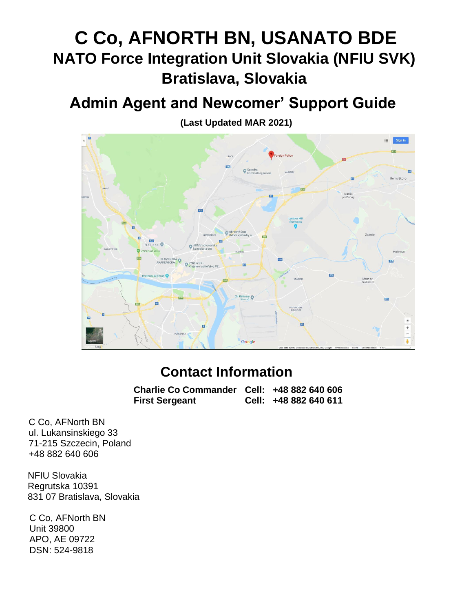# **C Co, AFNORTH BN, USANATO BDE NATO Force Integration Unit Slovakia (NFIU SVK) Bratislava, Slovakia**

# **Admin Agent and Newcomer' Support Guide**



**(Last Updated MAR 2021)**

# **Contact Information**

**Charlie Co Commander Cell: +48 882 640 606 First Sergeant Cell: +48 882 640 611**

C Co, AFNorth BN ul. Lukansinskiego 33 71-215 Szczecin, Poland +48 882 640 606

NFIU Slovakia Regrutska 10391 831 07 Bratislava, Slovakia

C Co, AFNorth BN Unit 39800 APO, AE 09722 DSN: 524-9818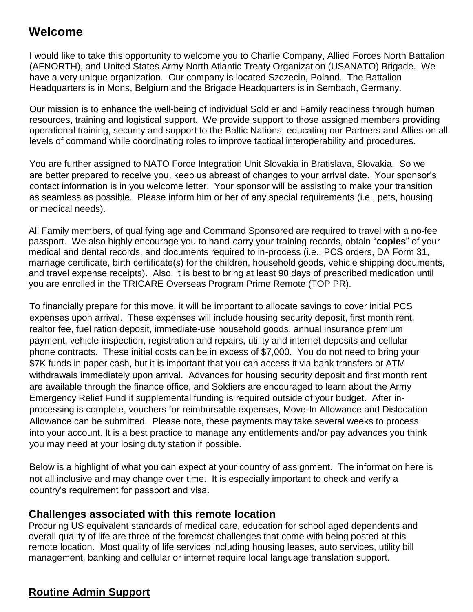# **Welcome**

I would like to take this opportunity to welcome you to Charlie Company, Allied Forces North Battalion (AFNORTH), and United States Army North Atlantic Treaty Organization (USANATO) Brigade. We have a very unique organization. Our company is located Szczecin, Poland. The Battalion Headquarters is in Mons, Belgium and the Brigade Headquarters is in Sembach, Germany.

Our mission is to enhance the well-being of individual Soldier and Family readiness through human resources, training and logistical support. We provide support to those assigned members providing operational training, security and support to the Baltic Nations, educating our Partners and Allies on all levels of command while coordinating roles to improve tactical interoperability and procedures.

You are further assigned to NATO Force Integration Unit Slovakia in Bratislava, Slovakia. So we are better prepared to receive you, keep us abreast of changes to your arrival date. Your sponsor's contact information is in you welcome letter. Your sponsor will be assisting to make your transition as seamless as possible. Please inform him or her of any special requirements (i.e., pets, housing or medical needs).

All Family members, of qualifying age and Command Sponsored are required to travel with a no-fee passport. We also highly encourage you to hand-carry your training records, obtain "**copies**" of your medical and dental records, and documents required to in-process (i.e., PCS orders, DA Form 31, marriage certificate, birth certificate(s) for the children, household goods, vehicle shipping documents, and travel expense receipts). Also, it is best to bring at least 90 days of prescribed medication until you are enrolled in the TRICARE Overseas Program Prime Remote (TOP PR).

To financially prepare for this move, it will be important to allocate savings to cover initial PCS expenses upon arrival. These expenses will include housing security deposit, first month rent, realtor fee, fuel ration deposit, immediate-use household goods, annual insurance premium payment, vehicle inspection, registration and repairs, utility and internet deposits and cellular phone contracts. These initial costs can be in excess of \$7,000. You do not need to bring your \$7K funds in paper cash, but it is important that you can access it via bank transfers or ATM withdrawals immediately upon arrival. Advances for housing security deposit and first month rent are available through the finance office, and Soldiers are encouraged to learn about the Army Emergency Relief Fund if supplemental funding is required outside of your budget. After inprocessing is complete, vouchers for reimbursable expenses, Move-In Allowance and Dislocation Allowance can be submitted. Please note, these payments may take several weeks to process into your account. It is a best practice to manage any entitlements and/or pay advances you think you may need at your losing duty station if possible.

Below is a highlight of what you can expect at your country of assignment. The information here is not all inclusive and may change over time. It is especially important to check and verify a country's requirement for passport and visa.

#### **Challenges associated with this remote location**

Procuring US equivalent standards of medical care, education for school aged dependents and overall quality of life are three of the foremost challenges that come with being posted at this remote location. Most quality of life services including housing leases, auto services, utility bill management, banking and cellular or internet require local language translation support.

# **Routine Admin Support**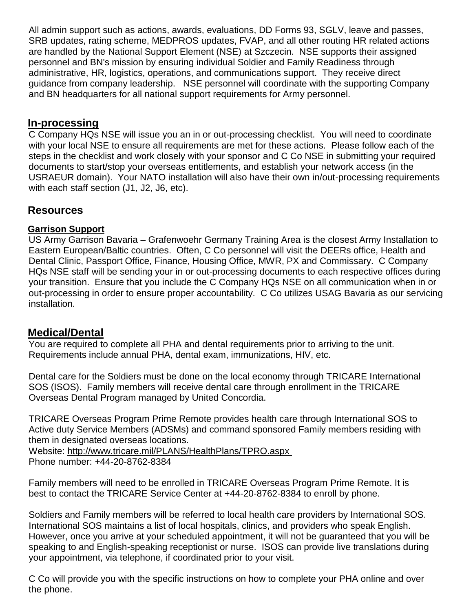All admin support such as actions, awards, evaluations, DD Forms 93, SGLV, leave and passes, SRB updates, rating scheme, MEDPROS updates, FVAP, and all other routing HR related actions are handled by the National Support Element (NSE) at Szczecin. NSE supports their assigned personnel and BN's mission by ensuring individual Soldier and Family Readiness through administrative, HR, logistics, operations, and communications support. They receive direct guidance from company leadership. NSE personnel will coordinate with the supporting Company and BN headquarters for all national support requirements for Army personnel.

#### **In-processing**

C Company HQs NSE will issue you an in or out-processing checklist. You will need to coordinate with your local NSE to ensure all requirements are met for these actions. Please follow each of the steps in the checklist and work closely with your sponsor and C Co NSE in submitting your required documents to start/stop your overseas entitlements, and establish your network access (in the USRAEUR domain). Your NATO installation will also have their own in/out-processing requirements with each staff section (J1, J2, J6, etc).

#### **Resources**

#### **Garrison Support**

US Army Garrison Bavaria – Grafenwoehr Germany Training Area is the closest Army Installation to Eastern European/Baltic countries. Often, C Co personnel will visit the DEERs office, Health and Dental Clinic, Passport Office, Finance, Housing Office, MWR, PX and Commissary. C Company HQs NSE staff will be sending your in or out-processing documents to each respective offices during your transition. Ensure that you include the C Company HQs NSE on all communication when in or out-processing in order to ensure proper accountability. C Co utilizes USAG Bavaria as our servicing installation.

#### **Medical/Dental**

You are required to complete all PHA and dental requirements prior to arriving to the unit. Requirements include annual PHA, dental exam, immunizations, HIV, etc.

Dental care for the Soldiers must be done on the local economy through TRICARE International SOS (ISOS). Family members will receive dental care through enrollment in the TRICARE Overseas Dental Program managed by United Concordia.

TRICARE Overseas Program Prime Remote provides health care through International SOS to Active duty Service Members (ADSMs) and command sponsored Family members residing with them in designated overseas locations.

Website:<http://www.tricare.mil/PLANS/HealthPlans/TPRO.aspx> Phone number: +44-20-8762-8384

Family members will need to be enrolled in TRICARE Overseas Program Prime Remote. It is best to contact the TRICARE Service Center at +44-20-8762-8384 to enroll by phone.

Soldiers and Family members will be referred to local health care providers by International SOS. International SOS maintains a list of local hospitals, clinics, and providers who speak English. However, once you arrive at your scheduled appointment, it will not be guaranteed that you will be speaking to and English-speaking receptionist or nurse. ISOS can provide live translations during your appointment, via telephone, if coordinated prior to your visit.

C Co will provide you with the specific instructions on how to complete your PHA online and over the phone.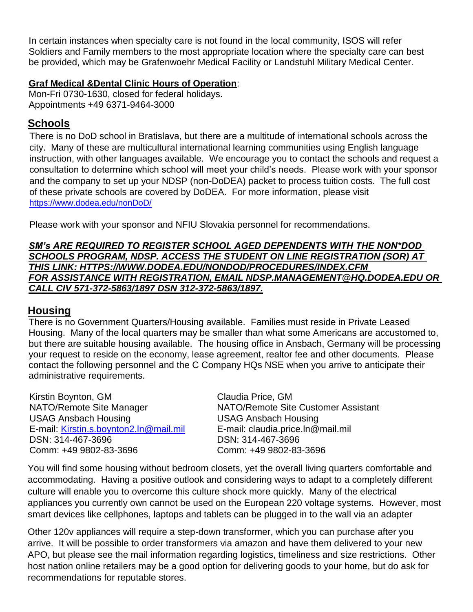In certain instances when specialty care is not found in the local community, ISOS will refer Soldiers and Family members to the most appropriate location where the specialty care can best be provided, which may be Grafenwoehr Medical Facility or Landstuhl Military Medical Center.

#### **Graf Medical &Dental Clinic Hours of Operation**:

Mon-Fri 0730-1630, closed for federal holidays. Appointments +49 6371-9464-3000

#### **Schools**

There is no DoD school in Bratislava, but there are a multitude of international schools across the city. Many of these are multicultural international learning communities using English language instruction, with other languages available. We encourage you to contact the schools and request a consultation to determine which school will meet your child's needs. Please work with your sponsor and the company to set up your NDSP (non-DoDEA) packet to process tuition costs. The full cost of these private schools are covered by DoDEA. For more information, please visit <https://www.dodea.edu/nonDoD/>

Please work with your sponsor and NFIU Slovakia personnel for recommendations.

#### *SM's ARE REQUIRED TO REGISTER SCHOOL AGED DEPENDENTS WITH THE NON\*DOD SCHOOLS PROGRAM, NDSP. ACCESS THE STUDENT ON LINE REGISTRATION (SOR) AT THIS LINK: HTTPS://WWW.DODEA.EDU/NONDOD/PROCEDURES/INDEX.CFM FOR ASSISTANCE WITH REGISTRATION, EMAIL NDSP.MANAGEMENT@HQ.DODEA.EDU OR CALL CIV 571-372-5863/1897 DSN 312-372-5863/1897.*

#### **Housing**

There is no Government Quarters/Housing available. Families must reside in Private Leased Housing. Many of the local quarters may be smaller than what some Americans are accustomed to, but there are suitable housing available. The housing office in Ansbach, Germany will be processing your request to reside on the economy, lease agreement, realtor fee and other documents. Please contact the following personnel and the C Company HQs NSE when you arrive to anticipate their administrative requirements.

Kirstin Boynton, GM Claudia Price, GM USAG Ansbach Housing USAG Ansbach Housing E-mail: [Kirstin.s.boynton2.ln@mail.mil](mailto:Kirstin.s.boynton2.ln@mail.mil) E-mail: claudia.price.ln@mail.mil DSN: 314-467-3696 DSN: 314-467-3696 Comm: +49 9802-83-3696 Comm: +49 9802-83-3696

NATO/Remote Site Manager NATO/Remote Site Customer Assistant

You will find some housing without bedroom closets, yet the overall living quarters comfortable and accommodating. Having a positive outlook and considering ways to adapt to a completely different culture will enable you to overcome this culture shock more quickly. Many of the electrical appliances you currently own cannot be used on the European 220 voltage systems. However, most smart devices like cellphones, laptops and tablets can be plugged in to the wall via an adapter

Other 120v appliances will require a step-down transformer, which you can purchase after you arrive. It will be possible to order transformers via amazon and have them delivered to your new APO, but please see the mail information regarding logistics, timeliness and size restrictions. Other host nation online retailers may be a good option for delivering goods to your home, but do ask for recommendations for reputable stores.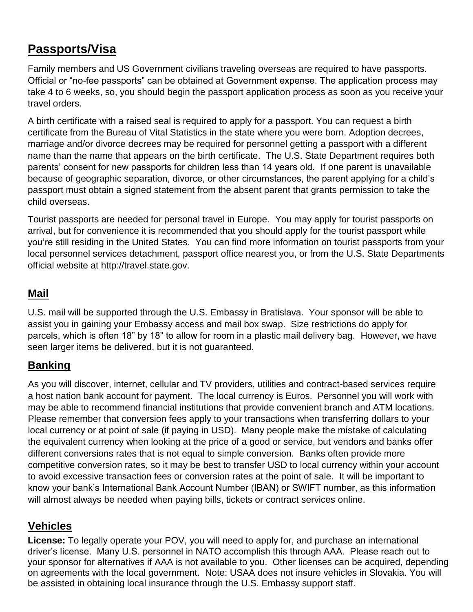# **Passports/Visa**

Family members and US Government civilians traveling overseas are required to have passports. Official or "no-fee passports" can be obtained at Government expense. The application process may take 4 to 6 weeks, so, you should begin the passport application process as soon as you receive your travel orders.

A birth certificate with a raised seal is required to apply for a passport. You can request a birth certificate from the Bureau of Vital Statistics in the state where you were born. Adoption decrees, marriage and/or divorce decrees may be required for personnel getting a passport with a different name than the name that appears on the birth certificate. The U.S. State Department requires both parents' consent for new passports for children less than 14 years old. If one parent is unavailable because of geographic separation, divorce, or other circumstances, the parent applying for a child's passport must obtain a signed statement from the absent parent that grants permission to take the child overseas.

Tourist passports are needed for personal travel in Europe. You may apply for tourist passports on arrival, but for convenience it is recommended that you should apply for the tourist passport while you're still residing in the United States. You can find more information on tourist passports from your local personnel services detachment, passport office nearest you, or from the U.S. State Departments official website at [http://travel.state.gov.](http://travel.state.gov/)

## **Mail**

U.S. mail will be supported through the U.S. Embassy in Bratislava. Your sponsor will be able to assist you in gaining your Embassy access and mail box swap. Size restrictions do apply for parcels, which is often 18" by 18" to allow for room in a plastic mail delivery bag. However, we have seen larger items be delivered, but it is not guaranteed.

## **Banking**

As you will discover, internet, cellular and TV providers, utilities and contract-based services require a host nation bank account for payment. The local currency is Euros. Personnel you will work with may be able to recommend financial institutions that provide convenient branch and ATM locations. Please remember that conversion fees apply to your transactions when transferring dollars to your local currency or at point of sale (if paying in USD). Many people make the mistake of calculating the equivalent currency when looking at the price of a good or service, but vendors and banks offer different conversions rates that is not equal to simple conversion. Banks often provide more competitive conversion rates, so it may be best to transfer USD to local currency within your account to avoid excessive transaction fees or conversion rates at the point of sale. It will be important to know your bank's International Bank Account Number (IBAN) or SWIFT number, as this information will almost always be needed when paying bills, tickets or contract services online.

## **Vehicles**

**License:** To legally operate your POV, you will need to apply for, and purchase an international driver's license. Many U.S. personnel in NATO accomplish this through AAA. Please reach out to your sponsor for alternatives if AAA is not available to you. Other licenses can be acquired, depending on agreements with the local government. Note: USAA does not insure vehicles in Slovakia. You will be assisted in obtaining local insurance through the U.S. Embassy support staff.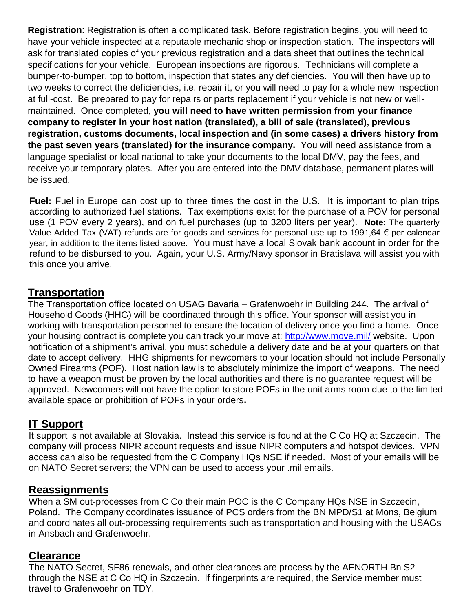**Registration**: Registration is often a complicated task. Before registration begins, you will need to have your vehicle inspected at a reputable mechanic shop or inspection station. The inspectors will ask for translated copies of your previous registration and a data sheet that outlines the technical specifications for your vehicle. European inspections are rigorous. Technicians will complete a bumper-to-bumper, top to bottom, inspection that states any deficiencies. You will then have up to two weeks to correct the deficiencies, i.e. repair it, or you will need to pay for a whole new inspection at full-cost. Be prepared to pay for repairs or parts replacement if your vehicle is not new or wellmaintained. Once completed, **you will need to have written permission from your finance company to register in your host nation (translated), a bill of sale (translated), previous registration, customs documents, local inspection and (in some cases) a drivers history from the past seven years (translated) for the insurance company.** You will need assistance from a language specialist or local national to take your documents to the local DMV, pay the fees, and receive your temporary plates. After you are entered into the DMV database, permanent plates will be issued.

**Fuel:** Fuel in Europe can cost up to three times the cost in the U.S. It is important to plan trips according to authorized fuel stations. Tax exemptions exist for the purchase of a POV for personal use (1 POV every 2 years), and on fuel purchases (up to 3200 liters per year). **Note:** The quarterly Value Added Tax (VAT) refunds are for goods and services for personal use up to 1991,64  $\epsilon$  per calendar year, in addition to the items listed above. You must have a local Slovak bank account in order for the refund to be disbursed to you. Again, your U.S. Army/Navy sponsor in Bratislava will assist you with this once you arrive.

#### **Transportation**

The Transportation office located on USAG Bavaria – Grafenwoehr in Building 244. The arrival of Household Goods (HHG) will be coordinated through this office. Your sponsor will assist you in working with transportation personnel to ensure the location of delivery once you find a home. Once your housing contract is complete you can track your move at:<http://www.move.mil/> website. Upon notification of a shipment's arrival, you must schedule a delivery date and be at your quarters on that date to accept delivery. HHG shipments for newcomers to your location should not include Personally Owned Firearms (POF). Host nation law is to absolutely minimize the import of weapons. The need to have a weapon must be proven by the local authorities and there is no guarantee request will be approved. Newcomers will not have the option to store POFs in the unit arms room due to the limited available space or prohibition of POFs in your orders**.**

#### **IT Support**

It support is not available at Slovakia. Instead this service is found at the C Co HQ at Szczecin. The company will process NIPR account requests and issue NIPR computers and hotspot devices. VPN access can also be requested from the C Company HQs NSE if needed. Most of your emails will be on NATO Secret servers; the VPN can be used to access your .mil emails.

#### **Reassignments**

When a SM out-processes from C Co their main POC is the C Company HQs NSE in Szczecin, Poland. The Company coordinates issuance of PCS orders from the BN MPD/S1 at Mons, Belgium and coordinates all out-processing requirements such as transportation and housing with the USAGs in Ansbach and Grafenwoehr.

#### **Clearance**

The NATO Secret, SF86 renewals, and other clearances are process by the AFNORTH Bn S2 through the NSE at C Co HQ in Szczecin. If fingerprints are required, the Service member must travel to Grafenwoehr on TDY.